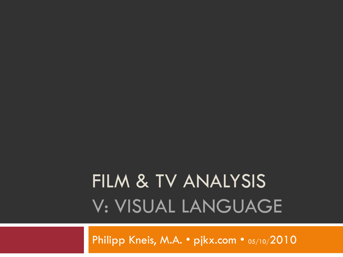# FILM & TV ANALYSIS V: VISUAL LANGUAGE

Philipp Kneis, M.A. • pjkx.com • 05/10/2010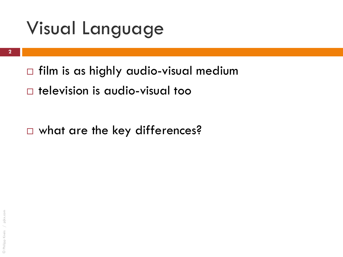- $\Box$  film is as highly audio-visual medium
- television is audio-visual too

□ what are the key differences?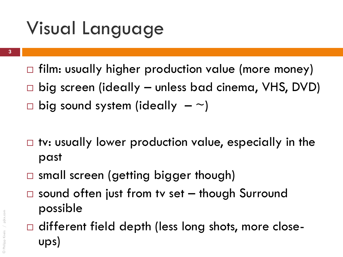- $\Box$  film: usually higher production value (more money)
- □ big screen (ideally unless bad cinema, VHS, DVD)
- $\Box$  big sound system (ideally  $-\sim$ )
- $\Box$  tv: usually lower production value, especially in the past
- □ small screen (getting bigger though)
- $\Box$  sound often just from tv set  $-$  though Surround possible
- $\Box$  different field depth (less long shots, more closeups)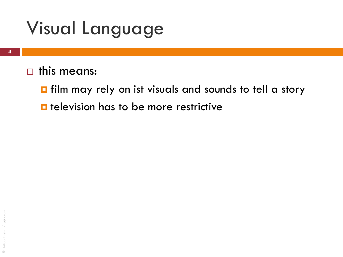$\Box$  this means:

Film may rely on ist visuals and sounds to tell a story  $\blacksquare$  television has to be more restrictive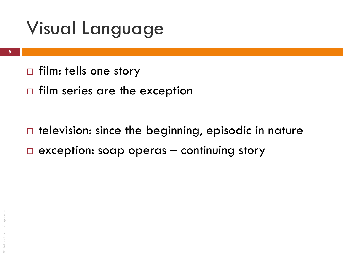- $\Box$  film: tells one story
- $\Box$  film series are the exception

 $\Box$  television: since the beginning, episodic in nature  $\Box$  exception: soap operas – continuing story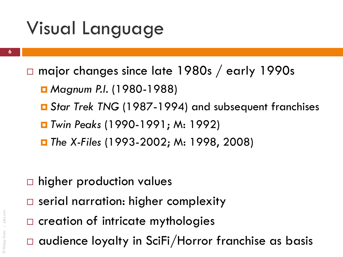- major changes since late 1980s / early 1990s
	- Magnum P.I. (1980-1988)
	- *Star Trek TNG* (1987-1994) and subsequent franchises
	- *Twin Peaks* (1990-1991; M: 1992)
	- *The X-Files* (1993-2002; M: 1998, 2008)

- □ higher production values
- □ serial narration: higher complexity
- $\square$  creation of intricate mythologies
- audience loyalty in SciFi/Horror franchise as basis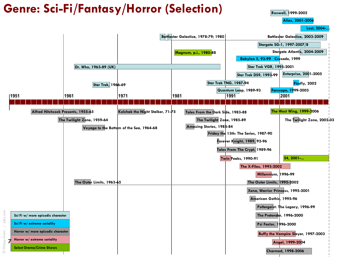#### **Genre: Sci-Fi/Fantasy/Horror (Selection)**

**Roswell, 1999-2002**

**Alias, 2001-2006**

**Lost, 2004-…**

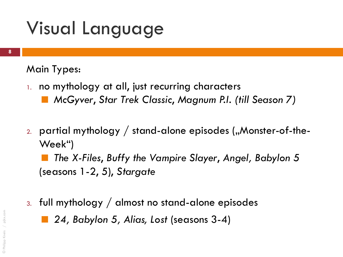Main Types:

- 1. no mythology at all, just recurring characters
	- *McGyver*, *Star Trek Classic*, *Magnum P.I. (till Season 7)*
- 2. partial mythology  $/$  stand-alone episodes ("Monster-of-the-Week")

 *The X-Files*, *Buffy the Vampire Slayer*, *Angel, Babylon 5*  (seasons 1-2, 5), *Stargate*

3. full mythology / almost no stand-alone episodes

*24, Babylon 5, Alias, Lost* (seasons 3-4)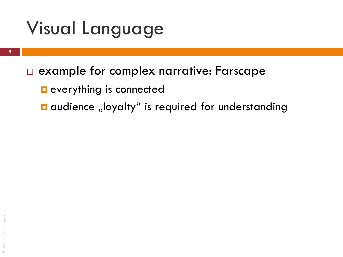#### example for complex narrative: Farscape

**E** everything is connected

 $\blacksquare$  audience "loyalty" is required for understanding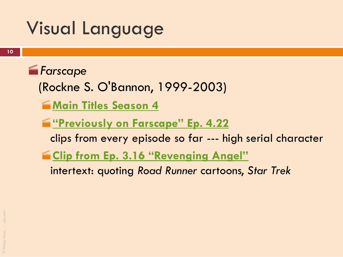*<u><i>Farscape</u>*</u> (Rockne S. O'Bannon, 1999-2003)

- **[Main Titles Season 4](http://www.youtube.com/watch?v=1sdZVqapWa0)**
- **["Previously on Farscape" Ep. 4.22](http://www.youtube.com/watch?v=frr-5V938bg)** 
	- clips from every episode so far --- high serial character
- **<u>E [Clip from Ep. 3.16 "Revenging Angel"](http://www.youtube.com/watch?v=bMByfozpl-M)</u>** 
	- intertext: quoting *Road Runner* cartoons, *Star Trek*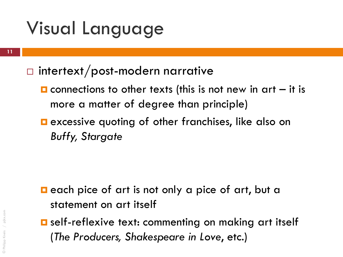#### $\Box$  intertext/post-modern narrative

- $\blacksquare$  connections to other texts (this is not new in art  $-$  it is more a matter of degree than principle)
- **E** excessive quoting of other franchises, like also on *Buffy, Stargate*

- $\blacksquare$  each pice of art is not only a pice of art, but a statement on art itself
- **<u>E</u>** self-reflexive text: commenting on making art itself (*The Producers, Shakespeare in Love*, etc.)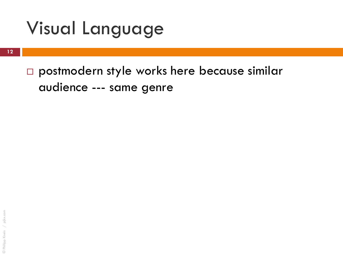postmodern style works here because similar audience --- same genre